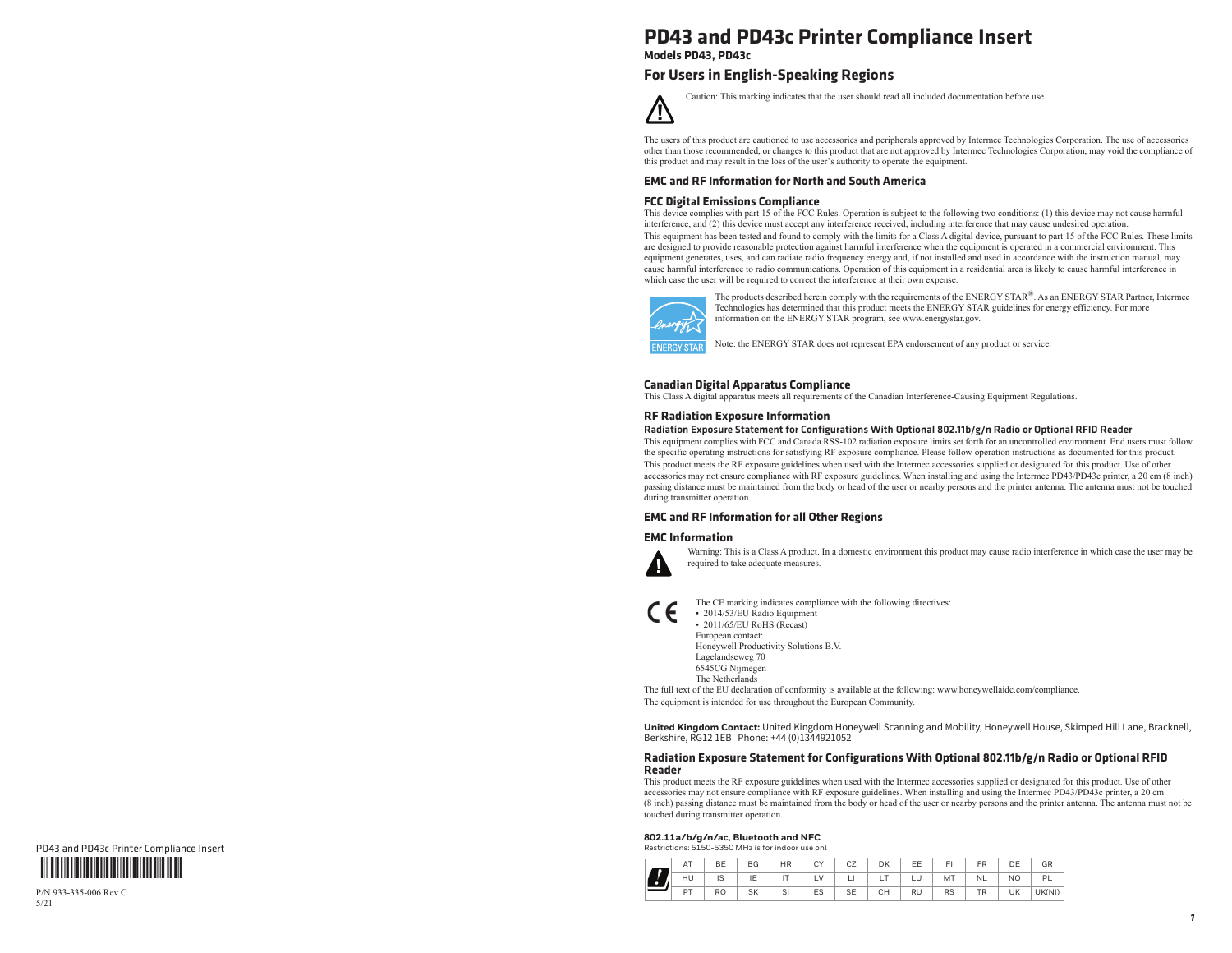## **PD43 and PD43c Printer Compliance Insert**

**Models PD43, PD43c**

#### **For Users in English-Speaking Regions**

Caution: This marking indicates that the user should read all included documentation before use. / ! '

The users of this product are cautioned to use accessories and peripherals approved by Intermec Technologies Corporation. The use of accessories other than those recommended, or changes to this product that are not approved by Intermec Technologies Corporation, may void the compliance of this product and may result in the loss of the user's authority to operate the equipment.

#### **EMC and RF Information for North and South America**

#### **FCC Digital Emissions Compliance**

This device complies with part 15 of the FCC Rules. Operation is subject to the following two conditions: (1) this device may not cause harmful interference, and (2) this device must accept any interference received, including interference that may cause undesired operation. This equipment has been tested and found to comply with the limits for a Class A digital device, pursuant to part 15 of the FCC Rules. These limits are designed to provide reasonable protection against harmful interference when the equipment is operated in a commercial environment. This equipment generates, uses, and can radiate radio frequency energy and, if not installed and used in accordance with the instruction manual, may cause harmful interference to radio communications. Operation of this equipment in a residential area is likely to cause harmful interference in which case the user will be required to correct the interference at their own expense.



The products described herein comply with the requirements of the ENERGY STAR®. As an ENERGY STAR Partner, Intermec Technologies has determined that this product meets the ENERGY STAR guidelines for energy efficiency. For more information on the ENERGY STAR program, see www.energystar.gov.

Note: the ENERGY STAR does not represent EPA endorsement of any product or service.

#### **Canadian Digital Apparatus Compliance**

This Class A digital apparatus meets all requirements of the Canadian Interference-Causing Equipment Regulations.

#### **RF Radiation Exposure Information**

Radiation Exposure Statement for Configurations With Optional 802.11b/g/n Radio or Optional RFID Reader

This equipment complies with FCC and Canada RSS-102 radiation exposure limits set forth for an uncontrolled environment. End users must follow the specific operating instructions for satisfying RF exposure compliance. Please follow operation instructions as documented for this product. This product meets the RF exposure guidelines when used with the Intermec accessories supplied or designated for this product. Use of other accessories may not ensure compliance with RF exposure guidelines. When installing and using the Intermec PD43/PD43c printer, a 20 cm (8 inch) passing distance must be maintained from the body or head of the user or nearby persons and the printer antenna. The antenna must not be touched during transmitter operation.

#### **EMC and RF Information for all Other Regions**

#### **EMC Information**



Warning: This is a Class A product. In a domestic environment this product may cause radio interference in which case the user may be required to take adequate measures.

The CE marking indicates compliance with the following directives: **•** 2014/53/EU Radio Equipment **•** 2011/65/EU RoHS (Recast) European contact: Honeywell Productivity Solutions B.V. Lagelandseweg 70 6545CG Nijmegen The NetherlandsThe full text of the EU declaration of conformity is available at the following: www.honeywellaidc.com/compliance.

The equipment is intended for use throughout the European Community.

United Kingdom Contact: United Kingdom Honeywell Scanning and Mobility, Honeywell House, Skimped Hill Lane, Bracknell, Berkshire, RG12 1EB Phone: +44 (0)1344921052

#### **Radiation Exposure Statement for Configurations With Optional 802.11b/g/n Radio or Optional RFID Reader**

 This product meets the RF exposure guidelines when used with the Intermec accessories supplied or designated for this product. Use of other accessories may not ensure compliance with RF exposure guidelines. When installing and using the Intermec PD43/PD43c printer, a 20 cm (8 inch) passing distance must be maintained from the body or head of the user or nearby persons and the printer antenna. The antenna must not be touched during transmitter operation.

#### **802.11a/b/g/n/ac, Bluetooth and NFC** Restrictions: 5150-5350 MHz is for indoor use onl

|  | AT | BE             | BG        | <b>HR</b> | ΓV<br>◡ | CZ         | DK | EE | EI        | FR        | DE | GR     |
|--|----|----------------|-----------|-----------|---------|------------|----|----|-----------|-----------|----|--------|
|  | HU | IC<br>10       | IΕ        |           |         | ╾          |    | LU | MT        | <b>NL</b> | NO | PL     |
|  | PT | R <sub>O</sub> | <b>SK</b> | SI        | ES      | $C =$<br>ᅩ | CH | RU | <b>RS</b> | TR        | UK | UK(NI) |



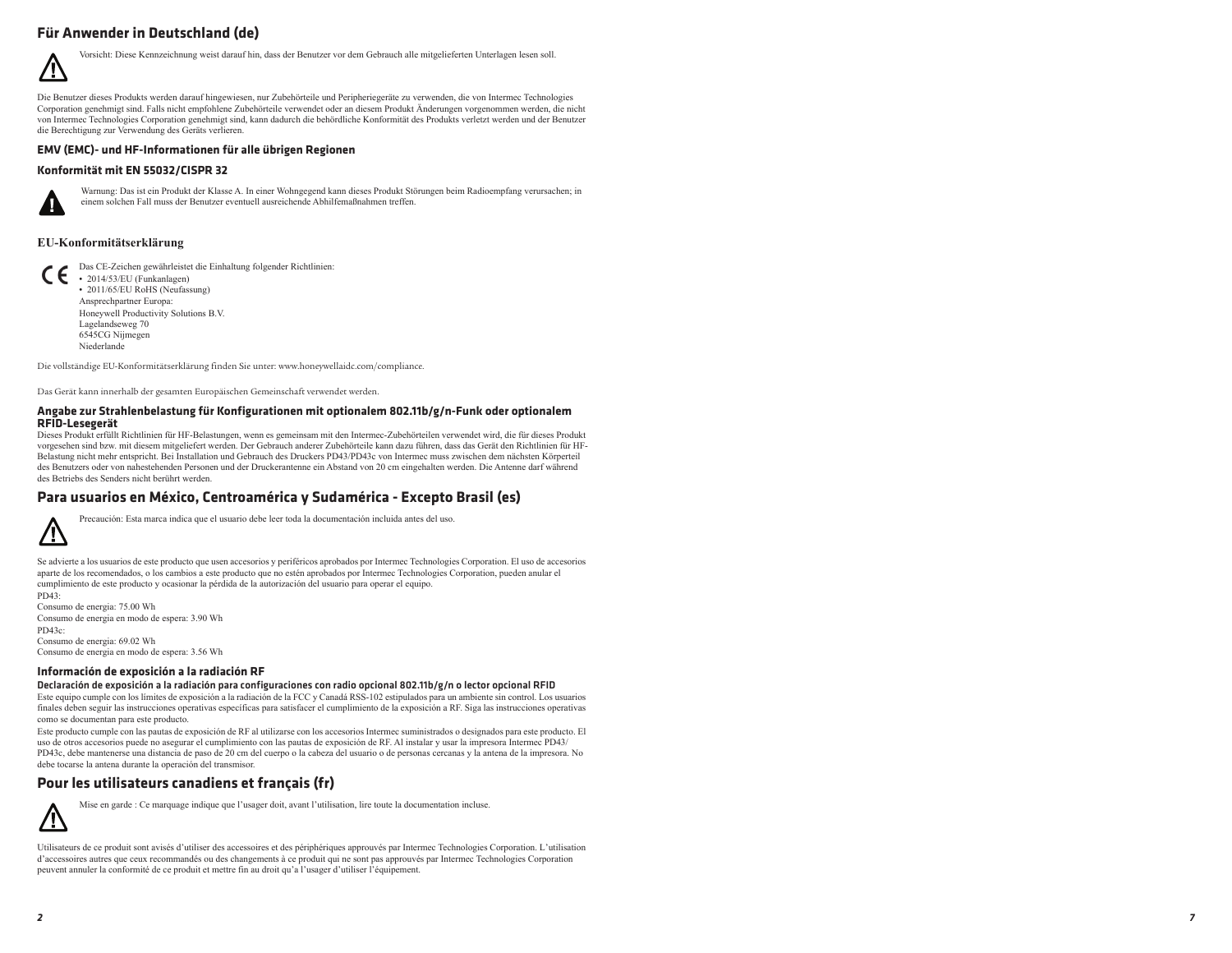### **Für Anwender in Deutschland (de)**



Vorsicht: Diese Kennzeichnung weist darauf hin, dass der Benutzer vor dem Gebrauch alle mitgelieferten Unterlagen lesen soll.

Die Benutzer dieses Produkts werden darauf hingewiesen, nur Zubehörteile und Peripheriegeräte zu verwenden, die von Intermec Technologies Corporation genehmigt sind. Falls nicht empfohlene Zubehörteile verwendet oder an diesem Produkt Änderungen vorgenommen werden, die nicht von Intermec Technologies Corporation genehmigt sind, kann dadurch die behördliche Konformität des Produkts verletzt werden und der Benutzer die Berechtigung zur Verwendung des Geräts verlieren.

#### **EMV (EMC)- und HF-Informationen für alle übrigen Regionen**

#### **Konformität mit EN 55032/CISPR 32**



Warnung: Das ist ein Produkt der Klasse A. In einer Wohngegend kann dieses Produkt Störungen beim Radioempfang verursachen; in einem solchen Fall muss der Benutzer eventuell ausreichende Abhilfemaßnahmen treffen.

#### **EU-Konformitätserklärung**

Das CE-Zeichen gewährleistet die Einhaltung folgender Richtlinien: • 2014/53/EU (Funkanlagen) **•** 2011/65/EU RoHS (Neufassung) Ansprechpartner Europa: Honeywell Productivity Solutions B.V. Lagelandseweg 70 6545CG Nijmegen Niederlande

Die vollständige EU-Konformitätserklärung finden Sie unter: www.honeywellaidc.com/compliance.

Das Gerät kann innerhalb der gesamten Europäischen Gemeinschaft verwendet werden.

#### **Angabe zur Strahlenbelastung für Konfigurationen mit optionalem 802.11b/g/n-Funk oder optionalem RFID-Lesegerät**

Dieses Produkt erfüllt Richtlinien für HF-Belastungen, wenn es gemeinsam mit den Intermec-Zubehörteilen verwendet wird, die für dieses Produkt vorgesehen sind bzw. mit diesem mitgeliefert werden. Der Gebrauch anderer Zubehörteile kann dazu führen, dass das Gerät den Richtlinien für HF-Belastung nicht mehr entspricht. Bei Installation und Gebrauch des Druckers PD43/PD43c von Intermec muss zwischen dem nächsten Körperteil des Benutzers oder von nahestehenden Personen und der Druckerantenne ein Abstand von 20 cm eingehalten werden. Die Antenne darf während des Betriebs des Senders nicht berührt werden.

#### **Para usuarios en México, Centroamérica y Sudamérica - Excepto Brasil (es)**



Precaución: Esta marca indica que el usuario debe leer toda la documentación incluida antes del uso.

Se advierte a los usuarios de este producto que usen accesorios y periféricos aprobados por Intermec Technologies Corporation. El uso de accesorios aparte de los recomendados, o los cambios a este producto que no estén aprobados por Intermec Technologies Corporation, pueden anular el cumplimiento de este producto y ocasionar la pérdida de la autorización del usuario para operar el equipo.

PD43: Consumo de energia: 75.00 Wh Consumo de energia en modo de espera: 3.90 Wh PD43c: Consumo de energia: 69.02 Wh Consumo de energia en modo de espera: 3.56 Wh

#### **Información de exposición a la radiación RF**

Declaración de exposición a la radiación para configuraciones con radio opcional 802.11b/g/n o lector opcional RFID

Este equipo cumple con los límites de exposición a la radiación de la FCC y Canadá RSS-102 estipulados para un ambiente sin control. Los usuarios finales deben seguir las instrucciones operativas específicas para satisfacer el cumplimiento de la exposición a RF. Siga las instrucciones operativas como se documentan para este producto.

Este producto cumple con las pautas de exposición de RF al utilizarse con los accesorios Intermec suministrados o designados para este producto. El uso de otros accesorios puede no asegurar el cumplimiento con las pautas de exposición de RF. Al instalar y usar la impresora Intermec PD43/ PD43c, debe mantenerse una distancia de paso de 20 cm del cuerpo o la cabeza del usuario o de personas cercanas y la antena de la impresora. No debe tocarse la antena durante la operación del transmisor.

#### **Pour les utilisateurs canadiens et français (fr)**



Mise en garde : Ce marquage indique que l'usager doit, avant l'utilisation, lire toute la documentation incluse.

Utilisateurs de ce produit sont avisés d'utiliser des accessoires et des périphériques approuvés par Intermec Technologies Corporation. L'utilisation d'accessoires autres que ceux recommandés ou des changements à ce produit qui ne sont pas approuvés par Intermec Technologies Corporation peuvent annuler la conformité de ce produit et mettre fin au droit qu'a l'usager d'utiliser l'équipement.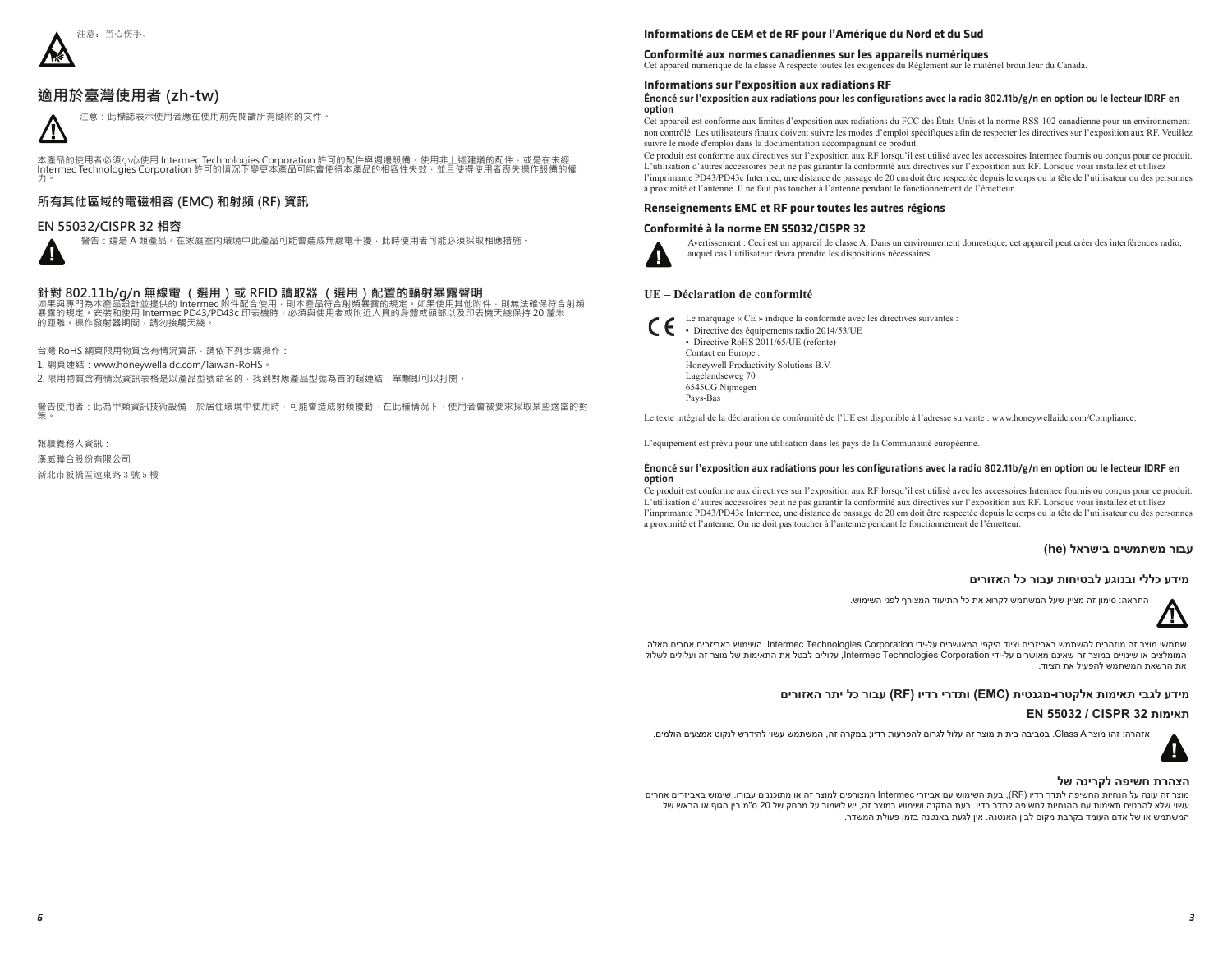

#### 適用於臺灣使用者 (zh-tw)



本產品的使用者必須小心使用 Intermec Technologies Corporation 許可的配件與週邊設備。使用非上述建議的配件,或是在未經<br>Intermec Technologies Corporation 許可的情況下變更本產品可能會使得本產品的相容性失效,並且使得使用者喪失操作設備的權

#### 所有其他區域的電磁相容 (EMC) 和射頻 (RF) **資訊**

#### **EN 55032/CISPR 32 相容**

/!`

警告:這是 A 類產品。在家庭室內環境中此產品可能會造成無線電干擾,此時使用者可能必須採取相應措施

## 針對 802.11b/g/n 無線電 ( 選用 ) 或 RFID 讀取器 ( 選用 ) 配置的輻射暴露聲明<br>如果與專門為本產品設計並提供的 Intermec 附件配合使用 · 則本產品符合射頻暴露的規定 · 如果使用其他附

合射頻暴露的規定。如果使用其他附件,則無法確保符合射頻 ⊊露的規定。安裝和使用 Intermec PD43/PD43c 印丟機時,必須與使用者或附近人員的身體或頭部以及印表機天綫保持 20 釐米 的距離。操作發射器期間,請勿接觸天綫。

台灣 RoHS 網頁限用物質含有情況資訊 · 請依下列步驟操作:

1. 網頁連結: www.honeywellaidc.com/Taiwan-RoHS

2. 限用物質含有情況資訊表格是以產品型號命名的, 找到對應產品型號為首的超連結, 單擊即可以打開

警告使用者:此為甲類眢訊技術設備,於居住環境中使用時,可能會造成射頻擾動,在此種情況下,使用者會被要求採取某些適當的對 䬽˛

報驗義務人資訊 漢威聯合股份有限公司 新北市板橋區遠東路 3號 5 樓

#### **Informations de CEM et de RF pour l'Amérique du Nord et du Sud**

#### **Conformité aux normes canadiennes sur les appareils numériques**

Cet appareil numérique de la classe A respecte toutes les exigences du Réglement sur le matériel brouilleur du Canada.

#### **Informations sur l'exposition aux radiations RF**

#### Énoncé sur l'exposition aux radiations pour les configurations avec la radio 802.11b/g/n en option ou le lecteur IDRF en option

Cet appareil est conforme aux limites d'exposition aux radiations du FCC des États-Unis et la norme RSS-102 canadienne pour un environnement non contrôlé. Les utilisateurs finaux doivent suivre les modes d'emploi spécifiques afin de respecter les directives sur l'exposition aux RF. Veuillez suivre le mode d'emploi dans la documentation accompagnant ce produit.

Ce produit est conforme aux directives sur l'exposition aux RF lorsqu'il est utilisé avec les accessoires Intermec fournis ou conçus pour ce produit. L'utilisation d'autres accessoires peut ne pas garantir la conformité aux directives sur l'exposition aux RF. Lorsque vous installez et utilisez l'imprimante PD43/PD43c Intermec, une distance de passage de 20 cm doit être respectée depuis le corps ou la tête de l'utilisateur ou des personnes à proximité et l'antenne. Il ne faut pas toucher à l'antenne pendant le fonctionnement de l'émetteur.

#### **Renseignements EMC et RF pour toutes les autres régions**

#### **Conformité à la norme EN 55032/CISPR 32**



Avertissement : Ceci est un appareil de classe A. Dans un environnement domestique, cet appareil peut créer des interférences radio, auquel cas l'utilisateur devra prendre les dispositions nécessaires.

#### **UE – Déclaration de conformité**

- Le marquage « CE » indique la conformité avec les directives suivantes :
	- **•** Directive des équipements radio 2014/53/UE **•** Directive RoHS 2011/65/UE (refonte) Contact en Europe : Honeywell Productivity Solutions B.V. Lagelandseweg 70 6545CG Nijmegen Pays-Bas

Le texte intégral de la déclaration de conformité de l'UE est disponible à l'adresse suivante : www.honeywellaidc.com/Compliance.

L'équipement est prévu pour une utilisation dans les pays de la Communauté européenne.

#### Énoncé sur l'exposition aux radiations pour les configurations avec la radio 802.11b/g/n en option ou le lecteur IDRF en option

Ce produit est conforme aux directives sur l'exposition aux RF lorsqu'il est utilisé avec les accessoires Intermec fournis ou conçus pour ce produit. L'utilisation d'autres accessoires peut ne pas garantir la conformité aux directives sur l'exposition aux RF. Lorsque vous installez et utilisez l'imprimante PD43/PD43c Intermec, une distance de passage de 20 cm doit être respectée depuis le corps ou la tête de l'utilisateur ou des personnes à proximité et l'antenne. On ne doit pas toucher à l'antenne pendant le fonctionnement de l'émetteur.

#### **עבור משתמשים בישראל (he(**

#### **מידע כללי ובנוגע לבטיחות עבור כל האזורים**

התראה: סימון זה מציין שעל המשתמש לקרוא את כל התיעוד המצורף לפני השימוש.



שתמשי מוצר זה מוזהרים להשתמש באביזרים וציוד היקפי המאושרים על-ידי Corporation Technologies Intermec. השימוש באביזרים אחרים מאלה המומלצים או שינויים במוצר זה שאינם מאושרים על-ידי Corporation Technologies Intermec, עלולים לבטל את התאימות של מוצר זה ועלולים לשלול את הרשאת המשתמש להפעיל את הציוד.

#### **מידע לגבי תאימות אלקטרו-מגנטית (EMC (ותדרי רדיו (RF (עבור כל יתר האזורים**

#### **EN 55032 / CISPR 32 תאימות**

אזהרה: זהו מוצר A Class. בסביבה ביתית מוצר זה עלול לגרום להפרעות רדיו; במקרה זה, המשתמש עשוי להידרש לנקוט אמצעים הולמים.

## **הצהרת חשיפה לקרינה של**

מוצר זה עונה על הנחיות החשיפה לתדר רדיו (RF(, בעת השימוש עם אביזרי Intermec המצורפים למוצר זה או מתוכננים עבורו. שימוש באביזרים אחרים עשוי שלא להבטיח תאימות עם ההנחיות לחשיפה לתדר רדיו. בעת התקנה ושימוש במוצר זה, יש לשמור על מרחק של 20 ס"מ בין הגוף או הראש של המשתמש או של אדם העומד בקרבת מקום לבין האנטנה. אין לגעת באנטנה בזמן פעולת המשדר.